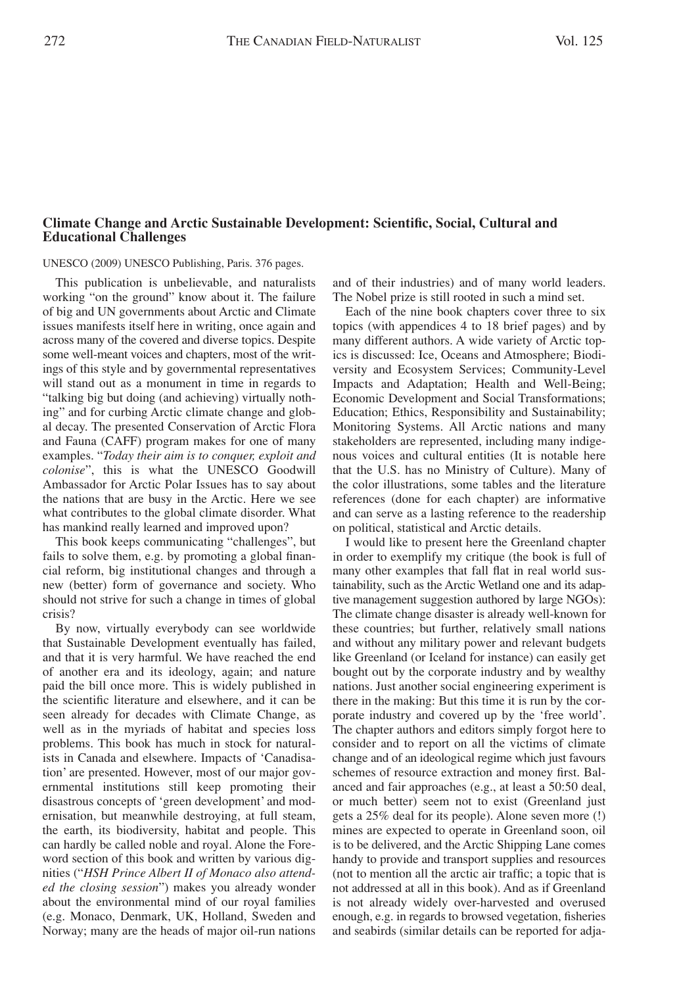## **Climate Change and Arctic Sustainable Development: Scientific, Social, Cultural and Educational Challenges**

## UNESCO (2009) UNESCO Publishing, Paris. 376 pages.

This publication is unbelievable, and naturalists working "on the ground" know about it. The failure of big and UN governments about Arctic and Climate issues manifests itself here in writing, once again and across many of the covered and diverse topics. Despite some well-meant voices and chapters, most of the writings of this style and by governmental representatives will stand out as a monument in time in regards to "talking big but doing (and achieving) virtually nothing" and for curbing Arctic climate change and global decay. The presented Conservation of Arctic Flora and Fauna (CAFF) program makes for one of many examples. "*Today their aim is to conquer, exploit and colonise*", this is what the UNESCO Goodwill Ambassador for Arctic Polar Issues has to say about the nations that are busy in the Arctic. Here we see what contributes to the global climate disorder. What has mankind really learned and improved upon?

This book keeps communicating "challenges", but fails to solve them, e.g. by promoting a global financial reform, big institutional changes and through a new (better) form of governance and society. Who should not strive for such a change in times of global crisis?

By now, virtually everybody can see worldwide that Sustainable Development eventually has failed, and that it is very harmful. We have reached the end of another era and its ideology, again; and nature paid the bill once more. This is widely published in the scientific literature and elsewhere, and it can be seen already for decades with Climate Change, as well as in the myriads of habitat and species loss problems. This book has much in stock for naturalists in Canada and elsewhere. Impacts of 'Canadisation' are presented. However, most of our major governmental institutions still keep promoting their disastrous concepts of 'green development' and modernisation, but meanwhile destroying, at full steam, the earth, its biodiversity, habitat and people. This can hardly be called noble and royal. Alone the Foreword section of this book and written by various dignities ("*HSH Prince Albert II of Monaco also attended the closing session*") makes you already wonder about the environmental mind of our royal families (e.g. Monaco, Denmark, UK, Holland, Sweden and Norway; many are the heads of major oil-run nations and of their industries) and of many world leaders. The Nobel prize is still rooted in such a mind set.

Each of the nine book chapters cover three to six topics (with appendices 4 to 18 brief pages) and by many different authors. A wide variety of Arctic topics is discussed: Ice, Oceans and Atmosphere; Biodiversity and Ecosystem Services; Community-Level Impacts and Adaptation; Health and Well-Being; Economic Development and Social Transformations; Education; Ethics, Responsibility and Sustainability; Monitoring Systems. All Arctic nations and many stakeholders are represented, including many indigenous voices and cultural entities (It is notable here that the U.S. has no Ministry of Culture). Many of the color illustrations, some tables and the literature references (done for each chapter) are informative and can serve as a lasting reference to the readership on political, statistical and Arctic details.

I would like to present here the Greenland chapter in order to exemplify my critique (the book is full of many other examples that fall flat in real world sustainability, such as the Arctic Wetland one and its adaptive management suggestion authored by large NGOs): The climate change disaster is already well-known for these countries; but further, relatively small nations and without any military power and relevant budgets like Greenland (or Iceland for instance) can easily get bought out by the corporate industry and by wealthy nations. Just another social engineering experiment is there in the making: But this time it is run by the corporate industry and covered up by the 'free world'. The chapter authors and editors simply forgot here to consider and to report on all the victims of climate change and of an ideological regime which just favours schemes of resource extraction and money first. Balanced and fair approaches (e.g., at least a 50:50 deal, or much better) seem not to exist (Greenland just gets a 25% deal for its people). Alone seven more (!) mines are expected to operate in Greenland soon, oil is to be delivered, and the Arctic Shipping Lane comes handy to provide and transport supplies and resources (not to mention all the arctic air traffic; a topic that is not addressed at all in this book). And as if Greenland is not already widely over-harvested and overused enough, e.g. in regards to browsed vegetation, fisheries and seabirds (similar details can be reported for adja